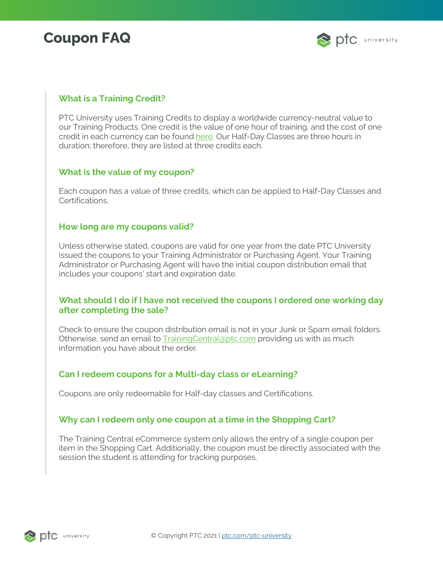# **Coupon FAQ**



# **What is a Training Credit?**

PTC University uses Training Credits to display a worldwide currency-neutral value to our Training Products. One credit is the value of one hour of training, and the cost of one credit in each currency can be found [here.](https://www.ptc.com/-/media/ptc-university/help-documents/pricing/ptc-university-class-pricing-en.pdf) Our Half-Day Classes are three hours in duration; therefore, they are listed at three credits each.

# **What is the value of my coupon?**

Each coupon has a value of three credits, which can be applied to Half-Day Classes and Certifications.

# **How long are my coupons valid?**

Unless otherwise stated, coupons are valid for one year from the date PTC University issued the coupons to your Training Administrator or Purchasing Agent. Your Training Administrator or Purchasing Agent will have the initial coupon distribution email that includes your coupons' start and expiration date.

# **What should I do if I have not received the coupons I ordered one working day after completing the sale?**

Check to ensure the coupon distribution email is not in your Junk or Spam email folders. Otherwise, send an email to [TrainingCentral@ptc.com](mailto:TrainingCentral@ptc.com) providing us with as much information you have about the order.

# **Can I redeem coupons for a Multi-day class or eLearning?**

Coupons are only redeemable for Half-day classes and Certifications.

# **Why can I redeem only one coupon at a time in the Shopping Cart?**

The Training Central eCommerce system only allows the entry of a single coupon per item in the Shopping Cart. Additionally, the coupon must be directly associated with the session the student is attending for tracking purposes.

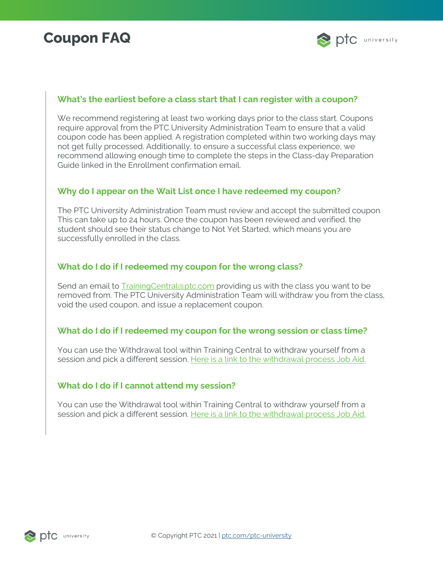# **Coupon FAQ**



# **What's the earliest before a class start that I can register with a coupon?**

We recommend registering at least two working days prior to the class start. Coupons require approval from the PTC University Administration Team to ensure that a valid coupon code has been applied. A registration completed within two working days may not get fully processed. Additionally, to ensure a successful class experience, we recommend allowing enough time to complete the steps in the Class-day Preparation Guide linked in the Enrollment confirmation email.

#### **Why do I appear on the Wait List once I have redeemed my coupon?**

The PTC University Administration Team must review and accept the submitted coupon. This can take up to 24 hours. Once the coupon has been reviewed and verified, the student should see their status change to Not Yet Started, which means you are successfully enrolled in the class.

# **What do I do if I redeemed my coupon for the wrong class?**

Send an email t[o TrainingCentral@ptc.com](mailto:TrainingCentral@ptc.com) providing us with the class you want to be removed from. The PTC University Administration Team will withdraw you from the class, void the used coupon, and issue a replacement coupon.

# **What do I do if I redeemed my coupon for the wrong session or class time?**

You can use the Withdrawal tool within Training Central to withdraw yourself from a session and pick a different session. [Here is a link to the withdrawal process Job Aid.](https://www.ptc.com/-/media/ptc-university/help-documents/training-central/how-to-withdraw-from-a-course-session.pdf)

# **What do I do if I cannot attend my session?**

You can use the Withdrawal tool within Training Central to withdraw yourself from a session and pick a different session. [Here is a link to the withdrawal process Job Aid.](https://www.ptc.com/-/media/ptc-university/help-documents/training-central/how-to-withdraw-from-a-course-session.pdf)